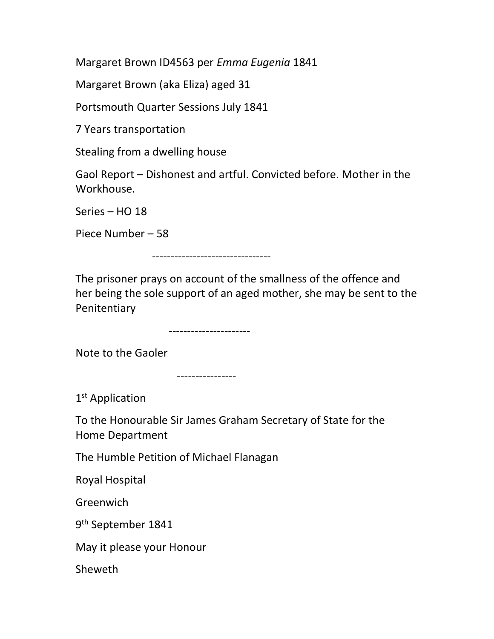Margaret Brown ID4563 per Emma Eugenia 1841

Margaret Brown (aka Eliza) aged 31

Portsmouth Quarter Sessions July 1841

7 Years transportation

Stealing from a dwelling house

Gaol Report – Dishonest and artful. Convicted before. Mother in the Workhouse.

Series – HO 18

Piece Number – 58

--------------------------------

The prisoner prays on account of the smallness of the offence and her being the sole support of an aged mother, she may be sent to the Penitentiary

----------------------

Note to the Gaoler

----------------

1<sup>st</sup> Application

To the Honourable Sir James Graham Secretary of State for the Home Department

The Humble Petition of Michael Flanagan

Royal Hospital

**Greenwich** 

9<sup>th</sup> September 1841

May it please your Honour

Sheweth